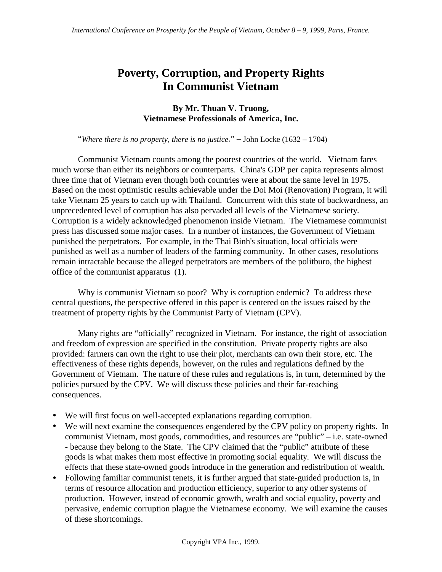# **Poverty, Corruption, and Property Rights In Communist Vietnam**

### **By Mr. Thuan V. Truong, Vietnamese Professionals of America, Inc.**

"*Where there is no property, there is no justice*." – John Locke (1632 – 1704)

Communist Vietnam counts among the poorest countries of the world. Vietnam fares much worse than either its neighbors or counterparts. China's GDP per capita represents almost three time that of Vietnam even though both countries were at about the same level in 1975. Based on the most optimistic results achievable under the Doi Moi (Renovation) Program, it will take Vietnam 25 years to catch up with Thailand. Concurrent with this state of backwardness, an unprecedented level of corruption has also pervaded all levels of the Vietnamese society. Corruption is a widely acknowledged phenomenon inside Vietnam. The Vietnamese communist press has discussed some major cases. In a number of instances, the Government of Vietnam punished the perpetrators. For example, in the Thai Binh's situation, local officials were punished as well as a number of leaders of the farming community. In other cases, resolutions remain intractable because the alleged perpetrators are members of the politburo, the highest office of the communist apparatus (1).

Why is communist Vietnam so poor? Why is corruption endemic? To address these central questions, the perspective offered in this paper is centered on the issues raised by the treatment of property rights by the Communist Party of Vietnam (CPV).

Many rights are "officially" recognized in Vietnam. For instance, the right of association and freedom of expression are specified in the constitution. Private property rights are also provided: farmers can own the right to use their plot, merchants can own their store, etc. The effectiveness of these rights depends, however, on the rules and regulations defined by the Government of Vietnam. The nature of these rules and regulations is, in turn, determined by the policies pursued by the CPV. We will discuss these policies and their far-reaching consequences.

- We will first focus on well-accepted explanations regarding corruption.
- We will next examine the consequences engendered by the CPV policy on property rights. In communist Vietnam, most goods, commodities, and resources are "public" – i.e. state-owned - because they belong to the State. The CPV claimed that the "public" attribute of these goods is what makes them most effective in promoting social equality. We will discuss the effects that these state-owned goods introduce in the generation and redistribution of wealth.
- Following familiar communist tenets, it is further argued that state-guided production is, in terms of resource allocation and production efficiency, superior to any other systems of production. However, instead of economic growth, wealth and social equality, poverty and pervasive, endemic corruption plague the Vietnamese economy. We will examine the causes of these shortcomings.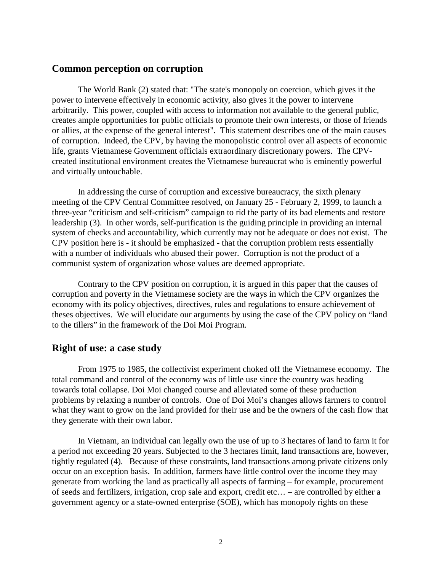### **Common perception on corruption**

The World Bank (2) stated that: "The state's monopoly on coercion, which gives it the power to intervene effectively in economic activity, also gives it the power to intervene arbitrarily. This power, coupled with access to information not available to the general public, creates ample opportunities for public officials to promote their own interests, or those of friends or allies, at the expense of the general interest". This statement describes one of the main causes of corruption. Indeed, the CPV, by having the monopolistic control over all aspects of economic life, grants Vietnamese Government officials extraordinary discretionary powers. The CPVcreated institutional environment creates the Vietnamese bureaucrat who is eminently powerful and virtually untouchable.

In addressing the curse of corruption and excessive bureaucracy, the sixth plenary meeting of the CPV Central Committee resolved, on January 25 - February 2, 1999, to launch a three-year "criticism and self-criticism" campaign to rid the party of its bad elements and restore leadership (3). In other words, self-purification is the guiding principle in providing an internal system of checks and accountability, which currently may not be adequate or does not exist. The CPV position here is - it should be emphasized - that the corruption problem rests essentially with a number of individuals who abused their power. Corruption is not the product of a communist system of organization whose values are deemed appropriate.

Contrary to the CPV position on corruption, it is argued in this paper that the causes of corruption and poverty in the Vietnamese society are the ways in which the CPV organizes the economy with its policy objectives, directives, rules and regulations to ensure achievement of theses objectives. We will elucidate our arguments by using the case of the CPV policy on "land to the tillers" in the framework of the Doi Moi Program.

#### **Right of use: a case study**

From 1975 to 1985, the collectivist experiment choked off the Vietnamese economy. The total command and control of the economy was of little use since the country was heading towards total collapse. Doi Moi changed course and alleviated some of these production problems by relaxing a number of controls. One of Doi Moi's changes allows farmers to control what they want to grow on the land provided for their use and be the owners of the cash flow that they generate with their own labor.

In Vietnam, an individual can legally own the use of up to 3 hectares of land to farm it for a period not exceeding 20 years. Subjected to the 3 hectares limit, land transactions are, however, tightly regulated (4). Because of these constraints, land transactions among private citizens only occur on an exception basis. In addition, farmers have little control over the income they may generate from working the land as practically all aspects of farming – for example, procurement of seeds and fertilizers, irrigation, crop sale and export, credit etc… – are controlled by either a government agency or a state-owned enterprise (SOE), which has monopoly rights on these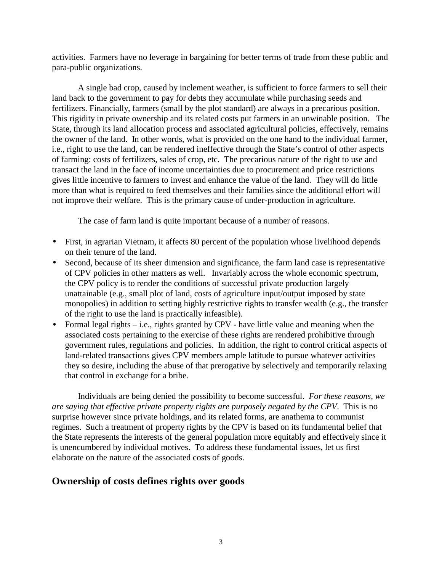activities. Farmers have no leverage in bargaining for better terms of trade from these public and para-public organizations.

A single bad crop, caused by inclement weather, is sufficient to force farmers to sell their land back to the government to pay for debts they accumulate while purchasing seeds and fertilizers. Financially, farmers (small by the plot standard) are always in a precarious position. This rigidity in private ownership and its related costs put farmers in an unwinable position. The State, through its land allocation process and associated agricultural policies, effectively, remains the owner of the land. In other words, what is provided on the one hand to the individual farmer, i.e., right to use the land, can be rendered ineffective through the State's control of other aspects of farming: costs of fertilizers, sales of crop, etc. The precarious nature of the right to use and transact the land in the face of income uncertainties due to procurement and price restrictions gives little incentive to farmers to invest and enhance the value of the land. They will do little more than what is required to feed themselves and their families since the additional effort will not improve their welfare. This is the primary cause of under-production in agriculture.

The case of farm land is quite important because of a number of reasons.

- First, in agrarian Vietnam, it affects 80 percent of the population whose livelihood depends on their tenure of the land.
- Second, because of its sheer dimension and significance, the farm land case is representative of CPV policies in other matters as well. Invariably across the whole economic spectrum, the CPV policy is to render the conditions of successful private production largely unattainable (e.g., small plot of land, costs of agriculture input/output imposed by state monopolies) in addition to setting highly restrictive rights to transfer wealth (e.g., the transfer of the right to use the land is practically infeasible).
- Formal legal rights i.e., rights granted by CPV have little value and meaning when the associated costs pertaining to the exercise of these rights are rendered prohibitive through government rules, regulations and policies. In addition, the right to control critical aspects of land-related transactions gives CPV members ample latitude to pursue whatever activities they so desire, including the abuse of that prerogative by selectively and temporarily relaxing that control in exchange for a bribe.

Individuals are being denied the possibility to become successful. *For these reasons, we are saying that effective private property rights are purposely negated by the CPV*. This is no surprise however since private holdings, and its related forms, are anathema to communist regimes. Such a treatment of property rights by the CPV is based on its fundamental belief that the State represents the interests of the general population more equitably and effectively since it is unencumbered by individual motives. To address these fundamental issues, let us first elaborate on the nature of the associated costs of goods.

### **Ownership of costs defines rights over goods**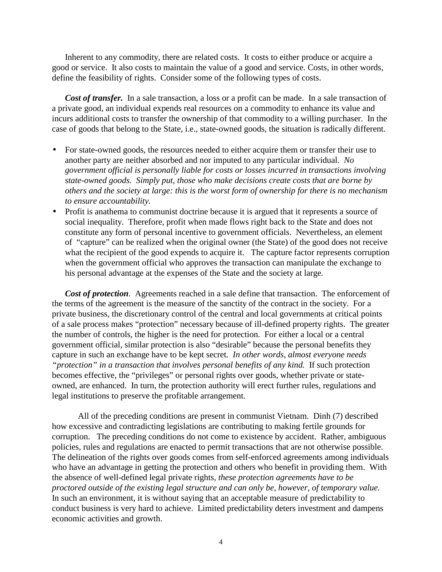Inherent to any commodity, there are related costs. It costs to either produce or acquire a good or service. It also costs to maintain the value of a good and service. Costs, in other words, define the feasibility of rights. Consider some of the following types of costs.

*Cost of transfer.* In a sale transaction, a loss or a profit can be made. In a sale transaction of a private good, an individual expends real resources on a commodity to enhance its value and incurs additional costs to transfer the ownership of that commodity to a willing purchaser. In the case of goods that belong to the State, i.e., state-owned goods, the situation is radically different.

- For state-owned goods, the resources needed to either acquire them or transfer their use to another party are neither absorbed and nor imputed to any particular individual. *No government official is personally liable for costs or losses incurred in transactions involving state-owned goods. Simply put, those who make decisions create costs that are borne by others and the society at large: this is the worst form of ownership for there is no mechanism to ensure accountability.*
- Profit is anathema to communist doctrine because it is argued that it represents a source of social inequality. Therefore, profit when made flows right back to the State and does not constitute any form of personal incentive to government officials. Nevertheless, an element of "capture" can be realized when the original owner (the State) of the good does not receive what the recipient of the good expends to acquire it. The capture factor represents corruption when the government official who approves the transaction can manipulate the exchange to his personal advantage at the expenses of the State and the society at large*.*

*Cost of protection*. Agreements reached in a sale define that transaction. The enforcement of the terms of the agreement is the measure of the sanctity of the contract in the society. For a private business, the discretionary control of the central and local governments at critical points of a sale process makes "protection" necessary because of ill-defined property rights. The greater the number of controls, the higher is the need for protection. For either a local or a central government official, similar protection is also "desirable" because the personal benefits they capture in such an exchange have to be kept secret*. In other words, almost everyone needs "protection" in a transaction that involves personal benefits of any kind.* If such protection becomes effective, the "privileges" or personal rights over goods, whether private or stateowned, are enhanced. In turn, the protection authority will erect further rules, regulations and legal institutions to preserve the profitable arrangement.

All of the preceding conditions are present in communist Vietnam. Dinh (7) described how excessive and contradicting legislations are contributing to making fertile grounds for corruption. The preceding conditions do not come to existence by accident. Rather, ambiguous policies, rules and regulations are enacted to permit transactions that are not otherwise possible. The delineation of the rights over goods comes from self-enforced agreements among individuals who have an advantage in getting the protection and others who benefit in providing them. With the absence of well-defined legal private rights, *these protection agreements have to be proctored outside of the existing legal structure and can only be, however, of temporary value.* In such an environment, it is without saying that an acceptable measure of predictability to conduct business is very hard to achieve. Limited predictability deters investment and dampens economic activities and growth.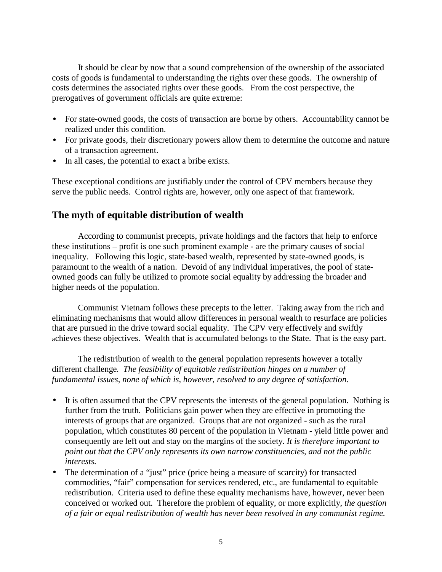It should be clear by now that a sound comprehension of the ownership of the associated costs of goods is fundamental to understanding the rights over these goods. The ownership of costs determines the associated rights over these goods. From the cost perspective, the prerogatives of government officials are quite extreme:

- For state-owned goods, the costs of transaction are borne by others. Accountability cannot be realized under this condition.
- For private goods, their discretionary powers allow them to determine the outcome and nature of a transaction agreement.
- In all cases, the potential to exact a bribe exists.

These exceptional conditions are justifiably under the control of CPV members because they serve the public needs. Control rights are, however, only one aspect of that framework.

## **The myth of equitable distribution of wealth**

According to communist precepts, private holdings and the factors that help to enforce these institutions – profit is one such prominent example - are the primary causes of social inequality. Following this logic, state-based wealth, represented by state-owned goods, is paramount to the wealth of a nation. Devoid of any individual imperatives, the pool of stateowned goods can fully be utilized to promote social equality by addressing the broader and higher needs of the population.

Communist Vietnam follows these precepts to the letter. Taking away from the rich and eliminating mechanisms that would allow differences in personal wealth to resurface are policies that are pursued in the drive toward social equality. The CPV very effectively and swiftly achieves these objectives. Wealth that is accumulated belongs to the State. That is the easy part.

 The redistribution of wealth to the general population represents however a totally different challenge*. The feasibility of equitable redistribution hinges on a number of fundamental issues, none of which is, however, resolved to any degree of satisfaction.*

- It is often assumed that the CPV represents the interests of the general population. Nothing is further from the truth. Politicians gain power when they are effective in promoting the interests of groups that are organized. Groups that are not organized - such as the rural population, which constitutes 80 percent of the population in Vietnam - yield little power and consequently are left out and stay on the margins of the society. *It is therefore important to point out that the CPV only represents its own narrow constituencies, and not the public interests.*
- The determination of a "just" price (price being a measure of scarcity) for transacted commodities, "fair" compensation for services rendered, etc., are fundamental to equitable redistribution. Criteria used to define these equality mechanisms have, however, never been conceived or worked out. Therefore the problem of equality, or more explicitly, *the question of a fair or equal redistribution of wealth has never been resolved in any communist regime.*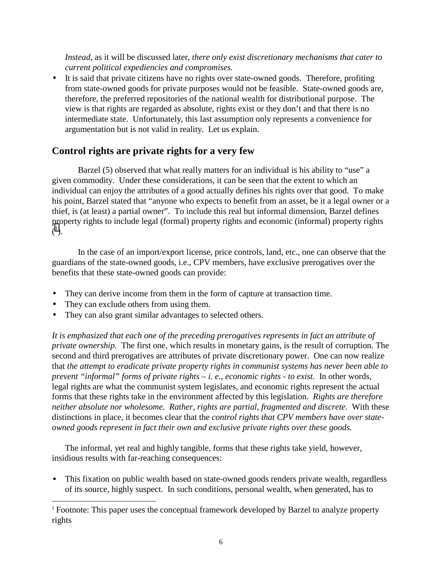*Instead*, as it will be discussed later*, there only exist discretionary mechanisms that cater to current political expediencies and compromises.*

• It is said that private citizens have no rights over state-owned goods. Therefore, profiting from state-owned goods for private purposes would not be feasible. State-owned goods are, therefore, the preferred repositories of the national wealth for distributional purpose. The view is that rights are regarded as absolute, rights exist or they don't and that there is no intermediate state. Unfortunately, this last assumption only represents a convenience for argumentation but is not valid in reality. Let us explain.

## **Control rights are private rights for a very few**

Barzel (5) observed that what really matters for an individual is his ability to "use" a given commodity. Under these considerations, it can be seen that the extent to which an individual can enjoy the attributes of a good actually defines his rights over that good. To make his point, Barzel stated that "anyone who expects to benefit from an asset, be it a legal owner or a thief, is (at least) a partial owner". To include this real but informal dimension, Barzel defines property rights to include legal (formal) property rights and economic (informal) property rights  $\tilde{(\ }^{1}).$ 

In the case of an import/export license, price controls, land, etc., one can observe that the guardians of the state-owned goods, i.e., CPV members, have exclusive prerogatives over the benefits that these state-owned goods can provide:

- They can derive income from them in the form of capture at transaction time.
- They can exclude others from using them.

 $\overline{a}$ 

They can also grant similar advantages to selected others.

*It is emphasized that each one of the preceding prerogatives represents in fact an attribute of private ownership.* The first one, which results in monetary gains, is the result of corruption. The second and third prerogatives are attributes of private discretionary power. One can now realize that *the attempt to eradicate private property rights in communist systems has never been able to prevent "informal" forms of private rights – i. e., economic rights - to exist.* In other words, legal rights are what the communist system legislates, and economic rights represent the actual forms that these rights take in the environment affected by this legislation. *Rights are therefore neither absolute nor wholesome. Rather, rights are partial, fragmented and discrete*. With these distinctions in place, it becomes clear that the *control rights that CPV members have over stateowned goods represent in fact their own and exclusive private rights over these goods.*

The informal, yet real and highly tangible, forms that these rights take yield, however, insidious results with far-reaching consequences:

• This fixation on public wealth based on state-owned goods renders private wealth, regardless of its source, highly suspect. In such conditions, personal wealth, when generated, has to

<sup>&</sup>lt;sup>1</sup> Footnote: This paper uses the conceptual framework developed by Barzel to analyze property rights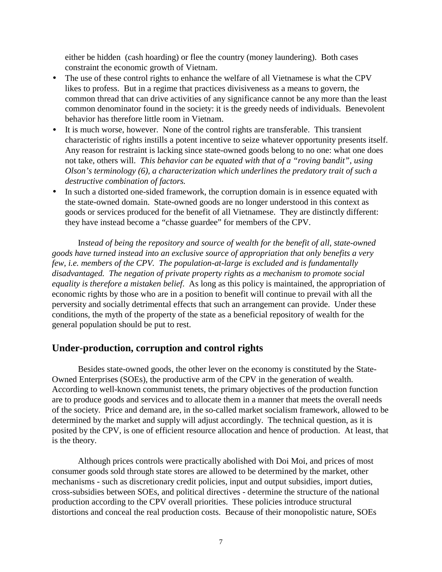either be hidden (cash hoarding) or flee the country (money laundering). Both cases constraint the economic growth of Vietnam.

- The use of these control rights to enhance the welfare of all Vietnamese is what the CPV likes to profess. But in a regime that practices divisiveness as a means to govern, the common thread that can drive activities of any significance cannot be any more than the least common denominator found in the society: it is the greedy needs of individuals. Benevolent behavior has therefore little room in Vietnam.
- It is much worse, however. None of the control rights are transferable. This transient characteristic of rights instills a potent incentive to seize whatever opportunity presents itself. Any reason for restraint is lacking since state-owned goods belong to no one: what one does not take, others will. *This behavior can be equated with that of a "roving bandit", using Olson's terminology (6), a characterization which underlines the predatory trait of such a destructive combination of factors.*
- In such a distorted one-sided framework, the corruption domain is in essence equated with the state-owned domain. State-owned goods are no longer understood in this context as goods or services produced for the benefit of all Vietnamese. They are distinctly different: they have instead become a "chasse guardee" for members of the CPV.

I*nstead of being the repository and source of wealth for the benefit of all, state-owned goods have turned instead into an exclusive source of appropriation that only benefits a very few, i.e. members of the CPV. The population-at-large is excluded and is fundamentally disadvantaged. The negation of private property rights as a mechanism to promote social equality is therefore a mistaken belief*. As long as this policy is maintained, the appropriation of economic rights by those who are in a position to benefit will continue to prevail with all the perversity and socially detrimental effects that such an arrangement can provide. Under these conditions, the myth of the property of the state as a beneficial repository of wealth for the general population should be put to rest.

### **Under-production, corruption and control rights**

Besides state-owned goods, the other lever on the economy is constituted by the State-Owned Enterprises (SOEs), the productive arm of the CPV in the generation of wealth. According to well-known communist tenets, the primary objectives of the production function are to produce goods and services and to allocate them in a manner that meets the overall needs of the society. Price and demand are, in the so-called market socialism framework, allowed to be determined by the market and supply will adjust accordingly. The technical question, as it is posited by the CPV, is one of efficient resource allocation and hence of production. At least, that is the theory.

Although prices controls were practically abolished with Doi Moi, and prices of most consumer goods sold through state stores are allowed to be determined by the market, other mechanisms - such as discretionary credit policies, input and output subsidies, import duties, cross-subsidies between SOEs, and political directives - determine the structure of the national production according to the CPV overall priorities. These policies introduce structural distortions and conceal the real production costs. Because of their monopolistic nature, SOEs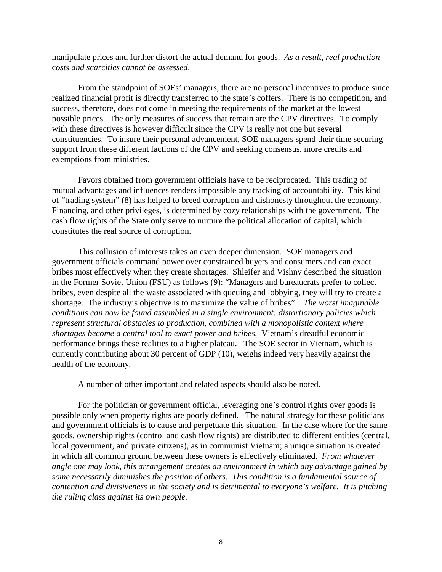manipulate prices and further distort the actual demand for goods. *As a result*, *real production* c*osts and scarcities cannot be assessed*.

From the standpoint of SOEs' managers, there are no personal incentives to produce since realized financial profit is directly transferred to the state's coffers. There is no competition, and success, therefore, does not come in meeting the requirements of the market at the lowest possible prices. The only measures of success that remain are the CPV directives. To comply with these directives is however difficult since the CPV is really not one but several constituencies. To insure their personal advancement, SOE managers spend their time securing support from these different factions of the CPV and seeking consensus, more credits and exemptions from ministries.

Favors obtained from government officials have to be reciprocated. This trading of mutual advantages and influences renders impossible any tracking of accountability. This kind of "trading system" (8) has helped to breed corruption and dishonesty throughout the economy. Financing, and other privileges, is determined by cozy relationships with the government. The cash flow rights of the State only serve to nurture the political allocation of capital, which constitutes the real source of corruption.

This collusion of interests takes an even deeper dimension. SOE managers and government officials command power over constrained buyers and consumers and can exact bribes most effectively when they create shortages. Shleifer and Vishny described the situation in the Former Soviet Union (FSU) as follows (9): "Managers and bureaucrats prefer to collect bribes, even despite all the waste associated with queuing and lobbying, they will try to create a shortage. The industry's objective is to maximize the value of bribes". *The worst imaginable conditions can now be found assembled in a single environment: distortionary policies which represent structural obstacles to production, combined with a monopolistic context where shortages become a central tool to exact power and bribes.* Vietnam's dreadful economic performance brings these realities to a higher plateau. The SOE sector in Vietnam, which is currently contributing about 30 percent of GDP (10), weighs indeed very heavily against the health of the economy.

A number of other important and related aspects should also be noted.

For the politician or government official, leveraging one's control rights over goods is possible only when property rights are poorly defined*.* The natural strategy for these politicians and government officials is to cause and perpetuate this situation. In the case where for the same goods, ownership rights (control and cash flow rights) are distributed to different entities (central, local government, and private citizens), as in communist Vietnam; a unique situation is created in which all common ground between these owners is effectively eliminated. *From whatever angle one may look, this arrangement creates an environment in which any advantage gained by some necessarily diminishes the position of others. This condition is a fundamental source of contention and divisiveness in the society and is detrimental to everyone's welfare. It is pitching the ruling class against its own people.*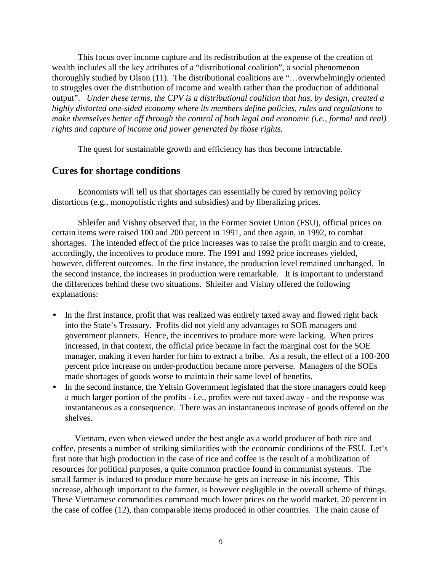This focus over income capture and its redistribution at the expense of the creation of wealth includes all the key attributes of a "distributional coalition", a social phenomenon thoroughly studied by Olson (11). The distributional coalitions are "…overwhelmingly oriented to struggles over the distribution of income and wealth rather than the production of additional output". *Under these terms, the CPV is a distributional coalition that has, by design, created a highly distorted one-sided economy where its members define policies, rules and regulations to make themselves better off through the control of both legal and economic (i.e., formal and real) rights and capture of income and power generated by those rights.*

The quest for sustainable growth and efficiency has thus become intractable.

#### **Cures for shortage conditions**

Economists will tell us that shortages can essentially be cured by removing policy distortions (e.g., monopolistic rights and subsidies) and by liberalizing prices.

Shleifer and Vishny observed that, in the Former Soviet Union (FSU), official prices on certain items were raised 100 and 200 percent in 1991, and then again, in 1992, to combat shortages. The intended effect of the price increases was to raise the profit margin and to create, accordingly, the incentives to produce more. The 1991 and 1992 price increases yielded, however, different outcomes. In the first instance, the production level remained unchanged. In the second instance, the increases in production were remarkable. It is important to understand the differences behind these two situations. Shleifer and Vishny offered the following explanations:

- In the first instance, profit that was realized was entirely taxed away and flowed right back into the State's Treasury. Profits did not yield any advantages to SOE managers and government planners. Hence, the incentives to produce more were lacking. When prices increased, in that context, the official price became in fact the marginal cost for the SOE manager, making it even harder for him to extract a bribe. As a result, the effect of a 100-200 percent price increase on under-production became more perverse. Managers of the SOEs made shortages of goods worse to maintain their same level of benefits.
- In the second instance, the Yeltsin Government legislated that the store managers could keep a much larger portion of the profits - i.e., profits were not taxed away - and the response was instantaneous as a consequence. There was an instantaneous increase of goods offered on the shelves.

Vietnam, even when viewed under the best angle as a world producer of both rice and coffee, presents a number of striking similarities with the economic conditions of the FSU. Let's first note that high production in the case of rice and coffee is the result of a mobilization of resources for political purposes, a quite common practice found in communist systems. The small farmer is induced to produce more because he gets an increase in his income. This increase, although important to the farmer, is however negligible in the overall scheme of things. These Vietnamese commodities command much lower prices on the world market, 20 percent in the case of coffee (12), than comparable items produced in other countries. The main cause of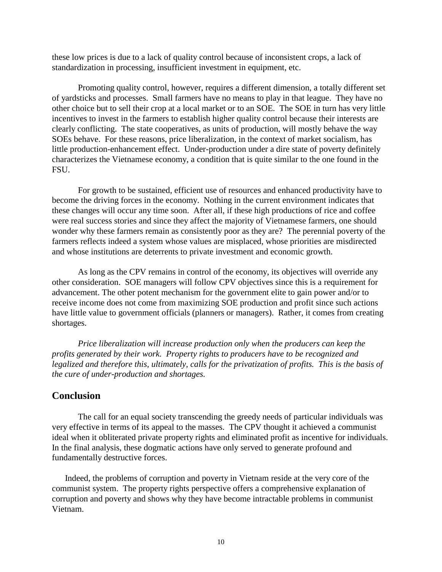these low prices is due to a lack of quality control because of inconsistent crops, a lack of standardization in processing, insufficient investment in equipment, etc.

Promoting quality control, however, requires a different dimension, a totally different set of yardsticks and processes. Small farmers have no means to play in that league. They have no other choice but to sell their crop at a local market or to an SOE. The SOE in turn has very little incentives to invest in the farmers to establish higher quality control because their interests are clearly conflicting. The state cooperatives, as units of production, will mostly behave the way SOEs behave. For these reasons, price liberalization, in the context of market socialism, has little production-enhancement effect. Under-production under a dire state of poverty definitely characterizes the Vietnamese economy, a condition that is quite similar to the one found in the FSU.

For growth to be sustained, efficient use of resources and enhanced productivity have to become the driving forces in the economy. Nothing in the current environment indicates that these changes will occur any time soon. After all, if these high productions of rice and coffee were real success stories and since they affect the majority of Vietnamese farmers, one should wonder why these farmers remain as consistently poor as they are? The perennial poverty of the farmers reflects indeed a system whose values are misplaced, whose priorities are misdirected and whose institutions are deterrents to private investment and economic growth.

As long as the CPV remains in control of the economy, its objectives will override any other consideration. SOE managers will follow CPV objectives since this is a requirement for advancement. The other potent mechanism for the government elite to gain power and/or to receive income does not come from maximizing SOE production and profit since such actions have little value to government officials (planners or managers). Rather, it comes from creating shortages.

*Price liberalization will increase production only when the producers can keep the profits generated by their work. Property rights to producers have to be recognized and legalized and therefore this, ultimately, calls for the privatization of profits. This is the basis of the cure of under-production and shortages.*

### **Conclusion**

The call for an equal society transcending the greedy needs of particular individuals was very effective in terms of its appeal to the masses. The CPV thought it achieved a communist ideal when it obliterated private property rights and eliminated profit as incentive for individuals. In the final analysis, these dogmatic actions have only served to generate profound and fundamentally destructive forces.

Indeed, the problems of corruption and poverty in Vietnam reside at the very core of the communist system. The property rights perspective offers a comprehensive explanation of corruption and poverty and shows why they have become intractable problems in communist Vietnam.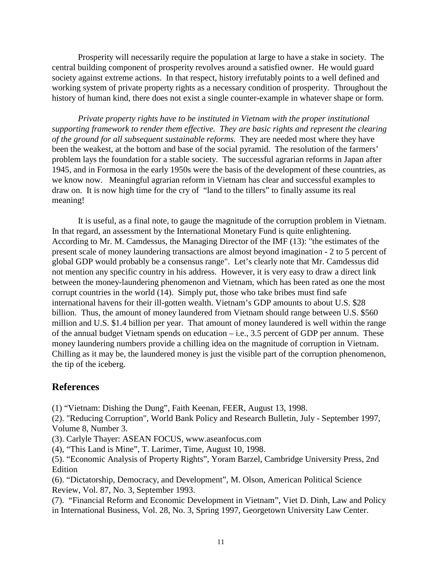Prosperity will necessarily require the population at large to have a stake in society. The central building component of prosperity revolves around a satisfied owner. He would guard society against extreme actions. In that respect, history irrefutably points to a well defined and working system of private property rights as a necessary condition of prosperity. Throughout the history of human kind, there does not exist a single counter-example in whatever shape or form*.*

*Private property rights have to be instituted in Vietnam with the proper institutional supporting framework to render them effective. They are basic rights and represent the clearing of the ground for all subsequent sustainable reforms.* They are needed most where they have been the weakest, at the bottom and base of the social pyramid. The resolution of the farmers' problem lays the foundation for a stable society. The successful agrarian reforms in Japan after 1945, and in Formosa in the early 1950s were the basis of the development of these countries, as we know now. Meaningful agrarian reform in Vietnam has clear and successful examples to draw on. It is now high time for the cry of "land to the tillers" to finally assume its real meaning!

It is useful, as a final note, to gauge the magnitude of the corruption problem in Vietnam. In that regard, an assessment by the International Monetary Fund is quite enlightening. According to Mr. M. Camdessus, the Managing Director of the IMF (13): "the estimates of the present scale of money laundering transactions are almost beyond imagination - 2 to 5 percent of global GDP would probably be a consensus range". Let's clearly note that Mr. Camdessus did not mention any specific country in his address. However, it is very easy to draw a direct link between the money-laundering phenomenon and Vietnam, which has been rated as one the most corrupt countries in the world (14). Simply put, those who take bribes must find safe international havens for their ill-gotten wealth. Vietnam's GDP amounts to about U.S. \$28 billion. Thus, the amount of money laundered from Vietnam should range between U.S. \$560 million and U.S. \$1.4 billion per year. That amount of money laundered is well within the range of the annual budget Vietnam spends on education  $-$  i.e., 3.5 percent of GDP per annum. These money laundering numbers provide a chilling idea on the magnitude of corruption in Vietnam. Chilling as it may be, the laundered money is just the visible part of the corruption phenomenon, the tip of the iceberg.

### **References**

(1) "Vietnam: Dishing the Dung", Faith Keenan, FEER, August 13, 1998.

(2). "Reducing Corruption", World Bank Policy and Research Bulletin, July - September 1997, Volume 8, Number 3.

(3). Carlyle Thayer: ASEAN FOCUS, www.aseanfocus.com

(4), "This Land is Mine", T. Larimer, Time, August 10, 1998.

(5). "Economic Analysis of Property Rights", Yoram Barzel, Cambridge University Press, 2nd Edition

(6). "Dictatorship, Democracy, and Development", M. Olson, American Political Science Review, Vol. 87, No. 3, September 1993.

(7). "Financial Reform and Economic Development in Vietnam", Viet D. Dinh, Law and Policy in International Business, Vol. 28, No. 3, Spring 1997, Georgetown University Law Center.